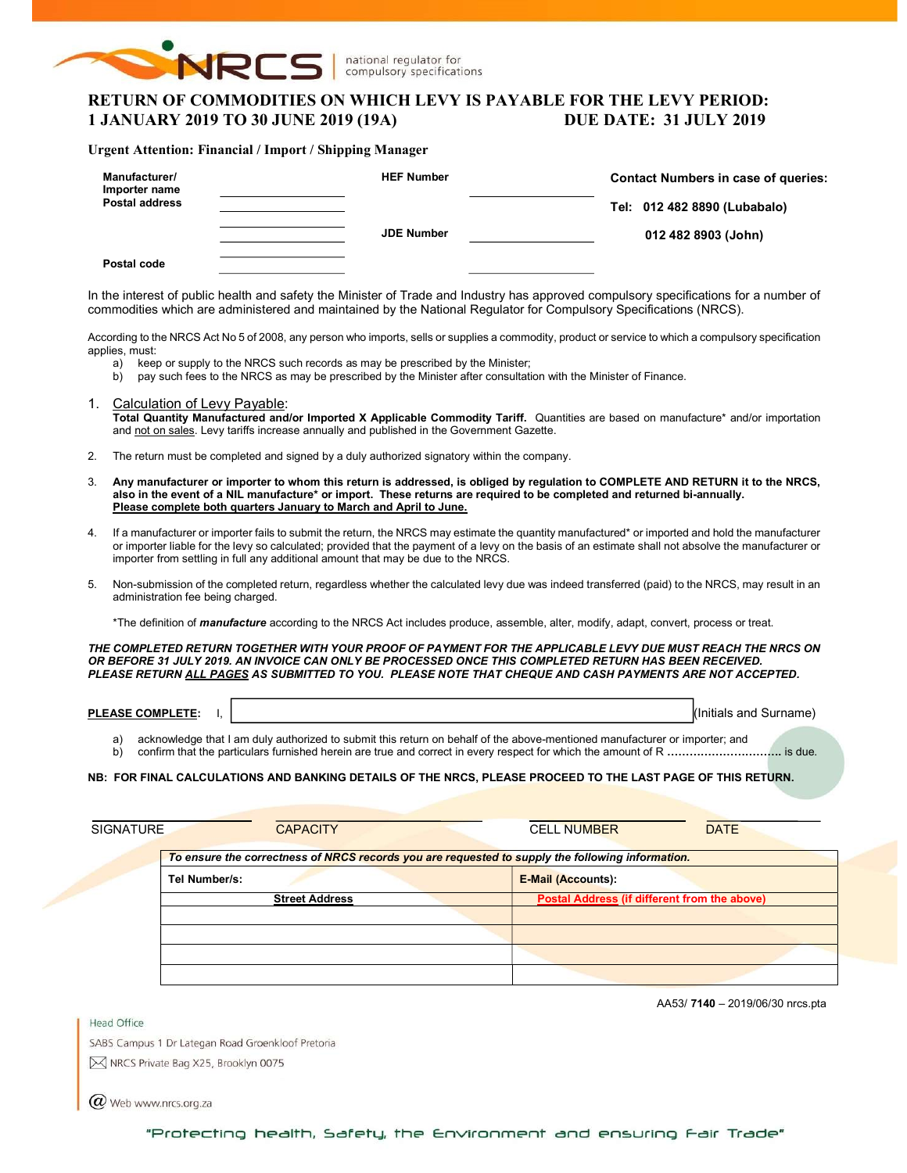

national regulator for compulsory specifications

# RETURN OF COMMODITIES ON WHICH LEVY IS PAYABLE FOR THE LEVY PERIOD: 1 JANUARY 2019 TO 30 JUNE 2019 (19A) DUE DATE: 31 JULY 2019

### Urgent Attention: Financial / Import / Shipping Manager

| Manufacturer/<br>Importer name<br><b>Postal address</b> | <b>HEF Number</b> | <b>Contact Numbers in case of queries:</b><br>Tel: 012 482 8890 (Lubabalo) |  |  |  |  |
|---------------------------------------------------------|-------------------|----------------------------------------------------------------------------|--|--|--|--|
| Postal code                                             | <b>JDE Number</b> | 012 482 8903 (John)                                                        |  |  |  |  |

In the interest of public health and safety the Minister of Trade and Industry has approved compulsory specifications for a number of commodities which are administered and maintained by the National Regulator for Compulsory Specifications (NRCS).

According to the NRCS Act No 5 of 2008, any person who imports, sells or supplies a commodity, product or service to which a compulsory specification applies, must:

- a) keep or supply to the NRCS such records as may be prescribed by the Minister;
- b) pay such fees to the NRCS as may be prescribed by the Minister after consultation with the Minister of Finance.
- 1. Calculation of Levy Payable: Total Quantity Manufactured and/or Imported X Applicable Commodity Tariff. Quantities are based on manufacture\* and/or importation and not on sales. Levy tariffs increase annually and published in the Government Gazette.
- 2. The return must be completed and signed by a duly authorized signatory within the company.
- 3. Any manufacturer or importer to whom this return is addressed, is obliged by regulation to COMPLETE AND RETURN it to the NRCS, also in the event of a NIL manufacture\* or import. These returns are required to be completed and returned bi-annually. Please complete both quarters January to March and April to June.
- 4. If a manufacturer or importer fails to submit the return, the NRCS may estimate the quantity manufactured\* or imported and hold the manufacturer or importer liable for the levy so calculated; provided that the payment of a levy on the basis of an estimate shall not absolve the manufacturer or importer from settling in full any additional amount that may be due to the NRCS.
- 5. Non-submission of the completed return, regardless whether the calculated levy due was indeed transferred (paid) to the NRCS, may result in an administration fee being charged.

\*The definition of *manufacture* according to the NRCS Act includes produce, assemble, alter, modify, adapt, convert, process or treat.

THE COMPLETED RETURN TOGETHER WITH YOUR PROOF OF PAYMENT FOR THE APPLICABLE LEVY DUE MUST REACH THE NRCS ON OR BEFORE 31 JULY 2019. AN INVOICE CAN ONLY BE PROCESSED ONCE THIS COMPLETED RETURN HAS BEEN RECEIVED. PLEASE RETURN ALL PAGES AS SUBMITTED TO YOU. PLEASE NOTE THAT CHEQUE AND CASH PAYMENTS ARE NOT ACCEPTED.

| <b>PLEA</b><br><b>\SE COMPL</b><br>-ASE<br>'LETE: | and<br>Surnar<br>iais |
|---------------------------------------------------|-----------------------|
|                                                   |                       |

a) acknowledge that I am duly authorized to submit this return on behalf of the above-mentioned manufacturer or importer; and b) confirm that the particulars furnished herein are true and correct in every respect for which the amount of R ………………………………… is due.

### NB: FOR FINAL CALCULATIONS AND BANKING DETAILS OF THE NRCS, PLEASE PROCEED TO THE LAST PAGE OF THIS RETURN.

| <b>SIGNATURE</b> | <b>CAPACITY</b>                                                                                  | <b>DATE</b><br><b>CELL NUMBER</b>            |
|------------------|--------------------------------------------------------------------------------------------------|----------------------------------------------|
|                  | To ensure the correctness of NRCS records you are requested to supply the following information. |                                              |
|                  | Tel Number/s:                                                                                    | <b>E-Mail (Accounts):</b>                    |
|                  | <b>Street Address</b>                                                                            | Postal Address (if different from the above) |
|                  |                                                                                                  |                                              |
|                  |                                                                                                  |                                              |
|                  |                                                                                                  |                                              |
|                  |                                                                                                  |                                              |

AA53/ 7140 – 2019/06/30 nrcs.pta

SABS Campus 1 Dr Lategan Road Groenkloof Pretoria M NRCS Private Bag X25, Brooklyn 0075

 $(\alpha)$  Web www.nrcs.org.za

Head Office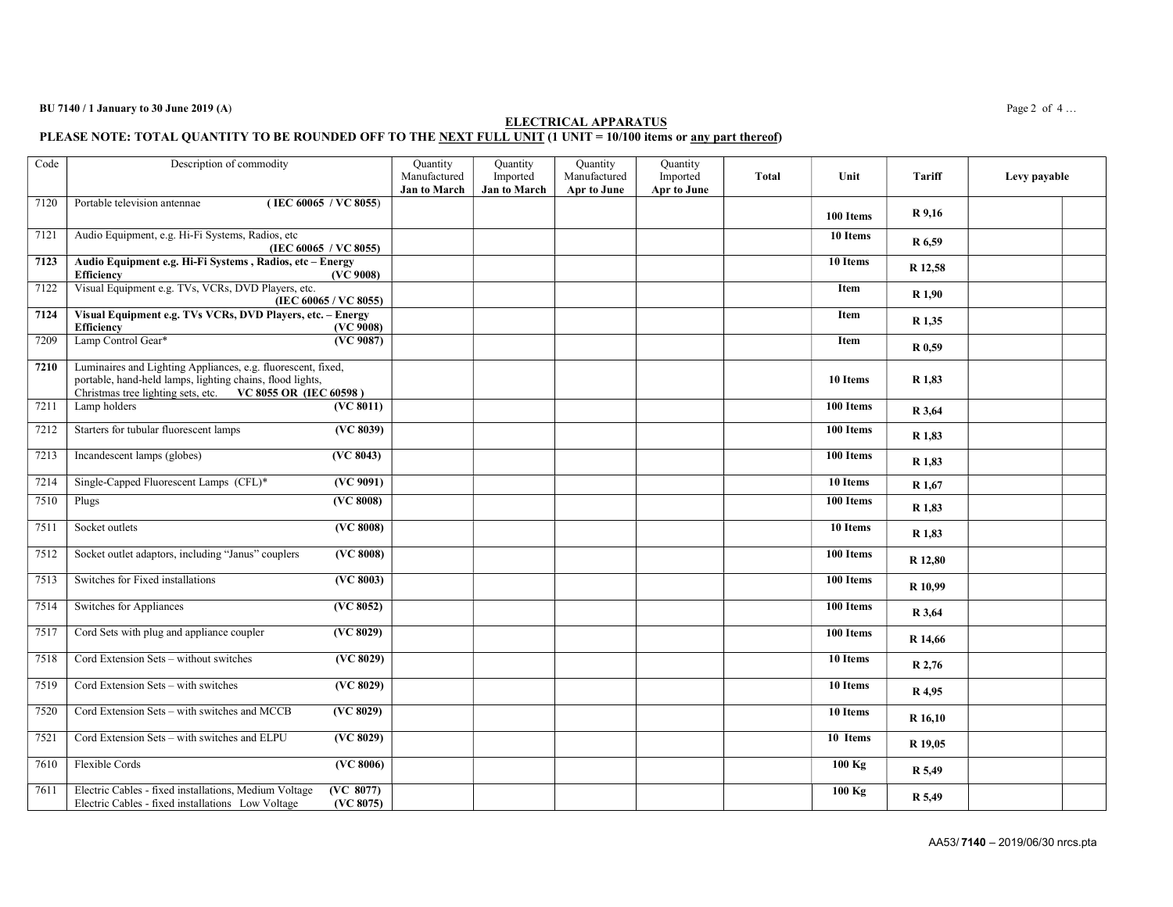#### $BU 7140 / 1$  January to 30 June 2019 (A) Page 2 of 4...

#### ELECTRICAL APPARATUS PLEASE NOTE: TOTAL QUANTITY TO BE ROUNDED OFF TO THE NEXT FULL UNIT (1 UNIT = 10/100 items or <u>any part thereof</u>)

| Code | Description of commodity                                                                                                                                                               |                        | Quantity<br>Manufactured<br><b>Jan to March</b> | Quantity<br>Imported<br>Jan to March | Quantity<br>Manufactured<br>Apr to June | Quantity<br>Imported<br>Apr to June | <b>Total</b> | Unit        | Tariff            | Levy payable |
|------|----------------------------------------------------------------------------------------------------------------------------------------------------------------------------------------|------------------------|-------------------------------------------------|--------------------------------------|-----------------------------------------|-------------------------------------|--------------|-------------|-------------------|--------------|
| 7120 | Portable television antennae<br>(IEC 60065 / VC 8055)                                                                                                                                  |                        |                                                 |                                      |                                         |                                     |              | 100 Items   | R 9,16            |              |
| 7121 | Audio Equipment, e.g. Hi-Fi Systems, Radios, etc<br>(IEC 60065 / VC 8055)                                                                                                              |                        |                                                 |                                      |                                         |                                     |              | 10 Items    | R 6,59            |              |
| 7123 | Audio Equipment e.g. Hi-Fi Systems, Radios, etc - Energy<br><b>Efficiency</b>                                                                                                          | (VC 9008)              |                                                 |                                      |                                         |                                     |              | 10 Items    | R 12,58           |              |
| 7122 | Visual Equipment e.g. TVs, VCRs, DVD Players, etc.                                                                                                                                     | (IEC 60065 / VC 8055)  |                                                 |                                      |                                         |                                     |              | <b>Item</b> | R <sub>1.90</sub> |              |
| 7124 | Visual Equipment e.g. TVs VCRs, DVD Players, etc. - Energy<br><b>Efficiency</b>                                                                                                        | (VC 9008)              |                                                 |                                      |                                         |                                     |              | Item        | R 1,35            |              |
| 7209 | Lamp Control Gear*                                                                                                                                                                     | (VC 9087)              |                                                 |                                      |                                         |                                     |              | Item        | R 0,59            |              |
| 7210 | Luminaires and Lighting Appliances, e.g. fluorescent, fixed,<br>portable, hand-held lamps, lighting chains, flood lights,<br>Christmas tree lighting sets, etc. VC 8055 OR (IEC 60598) |                        |                                                 |                                      |                                         |                                     |              | 10 Items    | R 1,83            |              |
| 7211 | Lamp holders                                                                                                                                                                           | (VC 8011)              |                                                 |                                      |                                         |                                     |              | 100 Items   | R 3,64            |              |
| 7212 | Starters for tubular fluorescent lamps                                                                                                                                                 | (VC 8039)              |                                                 |                                      |                                         |                                     |              | 100 Items   | R 1,83            |              |
| 7213 | Incandescent lamps (globes)                                                                                                                                                            | (VC 8043)              |                                                 |                                      |                                         |                                     |              | 100 Items   | R 1,83            |              |
| 7214 | Single-Capped Fluorescent Lamps (CFL)*                                                                                                                                                 | $\overline{(VC 9091)}$ |                                                 |                                      |                                         |                                     |              | 10 Items    | R 1,67            |              |
| 7510 | Plugs                                                                                                                                                                                  | (VC 8008)              |                                                 |                                      |                                         |                                     |              | 100 Items   | R 1,83            |              |
| 7511 | Socket outlets                                                                                                                                                                         | (VC 8008)              |                                                 |                                      |                                         |                                     |              | 10 Items    | R 1,83            |              |
| 7512 | Socket outlet adaptors, including "Janus" couplers                                                                                                                                     | (VC 8008)              |                                                 |                                      |                                         |                                     |              | 100 Items   | R 12,80           |              |
| 7513 | Switches for Fixed installations                                                                                                                                                       | (VC 8003)              |                                                 |                                      |                                         |                                     |              | 100 Items   | R 10,99           |              |
| 7514 | Switches for Appliances                                                                                                                                                                | (VC 8052)              |                                                 |                                      |                                         |                                     |              | 100 Items   | R 3,64            |              |
| 7517 | Cord Sets with plug and appliance coupler                                                                                                                                              | (VC 8029)              |                                                 |                                      |                                         |                                     |              | 100 Items   | R 14,66           |              |
| 7518 | Cord Extension Sets - without switches                                                                                                                                                 | (VC 8029)              |                                                 |                                      |                                         |                                     |              | 10 Items    | R 2,76            |              |
| 7519 | Cord Extension Sets - with switches                                                                                                                                                    | (VC 8029)              |                                                 |                                      |                                         |                                     |              | 10 Items    | R 4,95            |              |
| 7520 | Cord Extension Sets - with switches and MCCB                                                                                                                                           | (VC 8029)              |                                                 |                                      |                                         |                                     |              | 10 Items    | R 16,10           |              |
| 7521 | Cord Extension Sets - with switches and ELPU                                                                                                                                           | (VC 8029)              |                                                 |                                      |                                         |                                     |              | 10 Items    | R 19,05           |              |
| 7610 | Flexible Cords                                                                                                                                                                         | (VC 8006)              |                                                 |                                      |                                         |                                     |              | $100$ Kg    | R 5,49            |              |
| 7611 | Electric Cables - fixed installations, Medium Voltage<br>Electric Cables - fixed installations Low Voltage                                                                             | (VC 8077)<br>(VC 8075) |                                                 |                                      |                                         |                                     |              | $100$ Kg    | R 5,49            |              |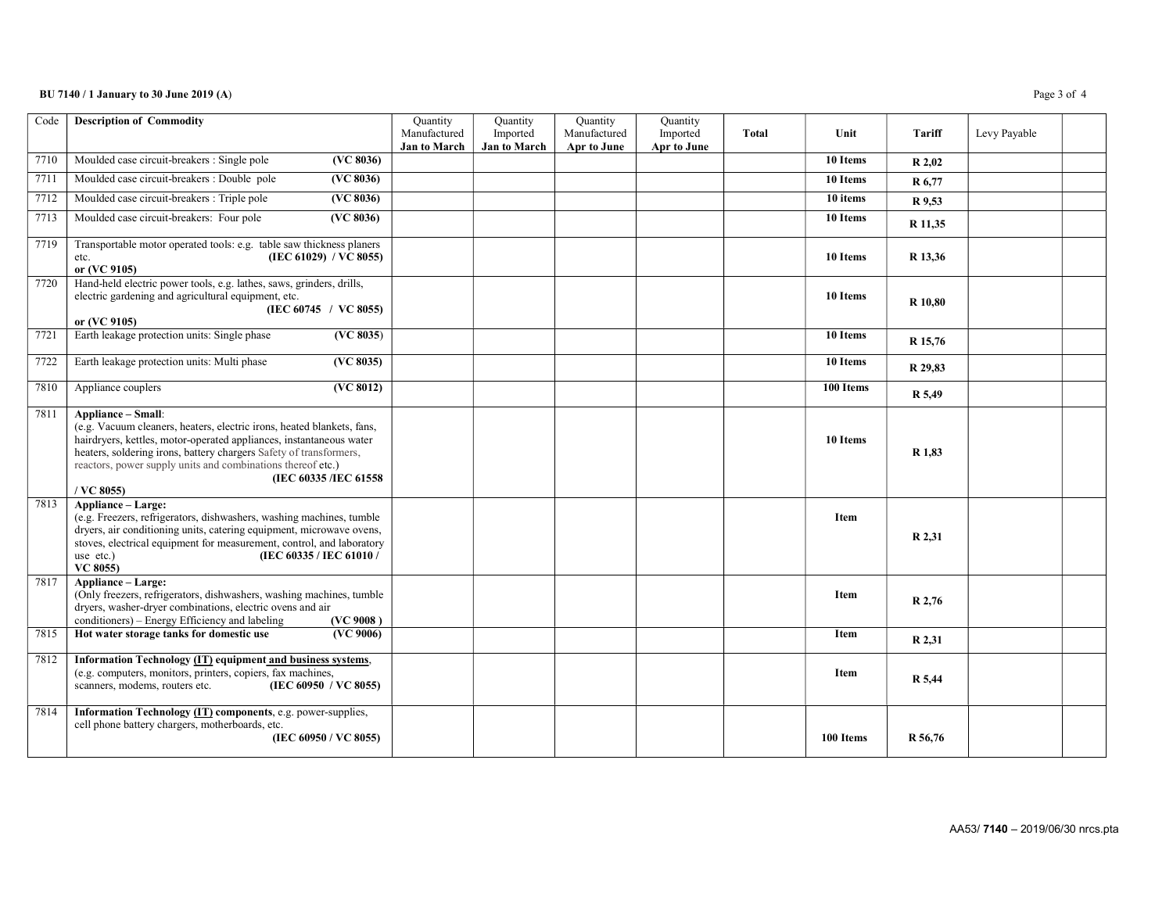### BU 7140 / 1 January to 30 June 2019 (A) Page 3 of 4

| Code | <b>Description of Commodity</b>                                                                                                                                                                                                                                                                                                                         | Quantity<br>Manufactured | Quantity<br>Imported | Quantity<br>Manufactured | Quantity<br>Imported | Total | Unit        | Tariff  | Levy Payable |  |
|------|---------------------------------------------------------------------------------------------------------------------------------------------------------------------------------------------------------------------------------------------------------------------------------------------------------------------------------------------------------|--------------------------|----------------------|--------------------------|----------------------|-------|-------------|---------|--------------|--|
|      |                                                                                                                                                                                                                                                                                                                                                         | <b>Jan to March</b>      | <b>Jan to March</b>  | Apr to June              | Apr to June          |       |             |         |              |  |
| 7710 | Moulded case circuit-breakers : Single pole<br>(VC 8036)                                                                                                                                                                                                                                                                                                |                          |                      |                          |                      |       | 10 Items    | R 2,02  |              |  |
| 7711 | Moulded case circuit-breakers : Double pole<br>(VC 8036)                                                                                                                                                                                                                                                                                                |                          |                      |                          |                      |       | 10 Items    | R 6,77  |              |  |
| 7712 | Moulded case circuit-breakers : Triple pole<br>(VC 8036)                                                                                                                                                                                                                                                                                                |                          |                      |                          |                      |       | 10 items    | R 9,53  |              |  |
| 7713 | Moulded case circuit-breakers: Four pole<br>(VC 8036)                                                                                                                                                                                                                                                                                                   |                          |                      |                          |                      |       | 10 Items    | R 11,35 |              |  |
| 7719 | Transportable motor operated tools: e.g. table saw thickness planers<br>(IEC 61029) / $\vec{VC}$ 8055)<br>etc.<br>or (VC 9105)                                                                                                                                                                                                                          |                          |                      |                          |                      |       | 10 Items    | R 13,36 |              |  |
| 7720 | Hand-held electric power tools, e.g. lathes, saws, grinders, drills,<br>electric gardening and agricultural equipment, etc.<br>(IEC 60745 / VC 8055)<br>or (VC 9105)                                                                                                                                                                                    |                          |                      |                          |                      |       | 10 Items    | R 10,80 |              |  |
| 7721 | Earth leakage protection units: Single phase<br>(VC 8035)                                                                                                                                                                                                                                                                                               |                          |                      |                          |                      |       | 10 Items    | R 15,76 |              |  |
| 7722 | Earth leakage protection units: Multi phase<br>(VC 8035)                                                                                                                                                                                                                                                                                                |                          |                      |                          |                      |       | 10 Items    | R 29,83 |              |  |
| 7810 | (VC 8012)<br>Appliance couplers                                                                                                                                                                                                                                                                                                                         |                          |                      |                          |                      |       | 100 Items   | R 5,49  |              |  |
| 7811 | <b>Appliance - Small:</b><br>(e.g. Vacuum cleaners, heaters, electric irons, heated blankets, fans,<br>hairdryers, kettles, motor-operated appliances, instantaneous water<br>heaters, soldering irons, battery chargers Safety of transformers,<br>reactors, power supply units and combinations thereof etc.)<br>(IEC 60335 /IEC 61558)<br>/ VC 8055) |                          |                      |                          |                      |       | 10 Items    | R 1,83  |              |  |
| 7813 | Appliance - Large:<br>(e.g. Freezers, refrigerators, dishwashers, washing machines, tumble<br>dryers, air conditioning units, catering equipment, microwave ovens,<br>stoves, electrical equipment for measurement, control, and laboratory<br>(IEC 60335 / IEC 61010 /<br>use etc.)<br>VC 8055)                                                        |                          |                      |                          |                      |       | <b>Item</b> | R 2,31  |              |  |
| 7817 | <b>Appliance - Large:</b><br>(Only freezers, refrigerators, dishwashers, washing machines, tumble<br>dryers, washer-dryer combinations, electric ovens and air<br>conditioners) – Energy Efficiency and labeling<br>(VC 9008)                                                                                                                           |                          |                      |                          |                      |       | <b>Item</b> | R 2,76  |              |  |
| 7815 | Hot water storage tanks for domestic use<br>(VC 9006)                                                                                                                                                                                                                                                                                                   |                          |                      |                          |                      |       | <b>Item</b> | R 2,31  |              |  |
| 7812 | Information Technology (IT) equipment and business systems,<br>(e.g. computers, monitors, printers, copiers, fax machines,<br>scanners, modems, routers etc.<br>(IEC 60950 / VC 8055)                                                                                                                                                                   |                          |                      |                          |                      |       | <b>Item</b> | R 5,44  |              |  |
| 7814 | Information Technology (IT) components, e.g. power-supplies,<br>cell phone battery chargers, motherboards, etc.<br>(IEC 60950 / VC 8055)                                                                                                                                                                                                                |                          |                      |                          |                      |       | 100 Items   | R 56,76 |              |  |

AA53/ 7140 – 2019/06/30 nrcs.pta